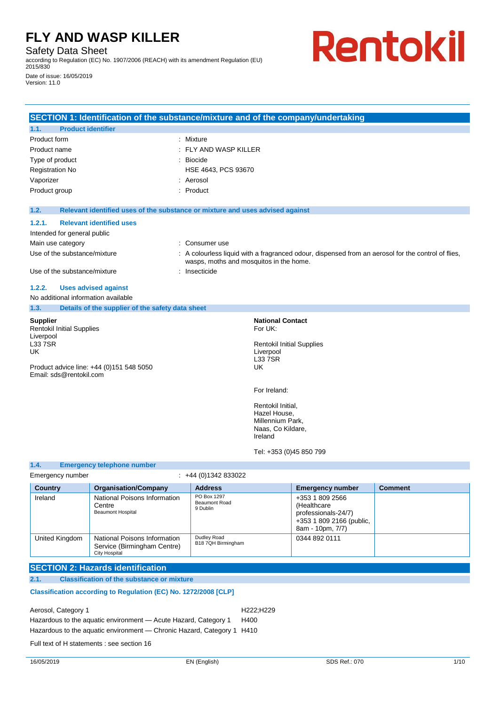Safety Data Sheet

according to Regulation (EC) No. 1907/2006 (REACH) with its amendment Regulation (EU) 2015/830

Date of issue: 16/05/2019 Version: 11.0

# Rentokil

|                                                                                                                    | SECTION 1: Identification of the substance/mixture and of the company/undertaking |                                         |                                                                                                      |                         |                                                                                                  |
|--------------------------------------------------------------------------------------------------------------------|-----------------------------------------------------------------------------------|-----------------------------------------|------------------------------------------------------------------------------------------------------|-------------------------|--------------------------------------------------------------------------------------------------|
| <b>Product identifier</b><br>1.1.                                                                                  |                                                                                   |                                         |                                                                                                      |                         |                                                                                                  |
| Product form                                                                                                       |                                                                                   | : Mixture                               |                                                                                                      |                         |                                                                                                  |
| Product name                                                                                                       |                                                                                   | FLY AND WASP KILLER                     |                                                                                                      |                         |                                                                                                  |
| Type of product                                                                                                    |                                                                                   | <b>Biocide</b>                          |                                                                                                      |                         |                                                                                                  |
| <b>Registration No</b>                                                                                             |                                                                                   | HSE 4643, PCS 93670                     |                                                                                                      |                         |                                                                                                  |
| Vaporizer                                                                                                          |                                                                                   | : Aerosol                               |                                                                                                      |                         |                                                                                                  |
| Product group                                                                                                      |                                                                                   | : Product                               |                                                                                                      |                         |                                                                                                  |
| 1.2.                                                                                                               | Relevant identified uses of the substance or mixture and uses advised against     |                                         |                                                                                                      |                         |                                                                                                  |
| 1.2.1.                                                                                                             | <b>Relevant identified uses</b>                                                   |                                         |                                                                                                      |                         |                                                                                                  |
| Intended for general public                                                                                        |                                                                                   |                                         |                                                                                                      |                         |                                                                                                  |
| Main use category                                                                                                  |                                                                                   | Consumer use                            |                                                                                                      |                         |                                                                                                  |
| Use of the substance/mixture                                                                                       |                                                                                   | wasps, moths and mosquitos in the home. |                                                                                                      |                         | A colourless liquid with a fragranced odour, dispensed from an aerosol for the control of flies, |
| Use of the substance/mixture                                                                                       |                                                                                   | : Insecticide                           |                                                                                                      |                         |                                                                                                  |
| 1.2.2.                                                                                                             | <b>Uses advised against</b>                                                       |                                         |                                                                                                      |                         |                                                                                                  |
| No additional information available                                                                                |                                                                                   |                                         |                                                                                                      |                         |                                                                                                  |
| 1.3.                                                                                                               | Details of the supplier of the safety data sheet                                  |                                         |                                                                                                      |                         |                                                                                                  |
| <b>Supplier</b><br><b>Rentokil Initial Supplies</b><br>Liverpool<br><b>L337SR</b><br>UK<br>Email: sds@rentokil.com | Product advice line: +44 (0)151 548 5050                                          |                                         | <b>National Contact</b><br>For UK:<br><b>Rentokil Initial Supplies</b><br>Liverpool<br>L33 7SR<br>UK |                         |                                                                                                  |
|                                                                                                                    |                                                                                   |                                         | For Ireland:                                                                                         |                         |                                                                                                  |
|                                                                                                                    |                                                                                   |                                         | Rentokil Initial,<br>Hazel House,<br>Millennium Park,<br>Naas, Co Kildare,<br>Ireland                |                         |                                                                                                  |
|                                                                                                                    |                                                                                   |                                         | Tel: +353 (0)45 850 799                                                                              |                         |                                                                                                  |
| 1.4.                                                                                                               | <b>Emergency telephone number</b>                                                 |                                         |                                                                                                      |                         |                                                                                                  |
| Emergency number                                                                                                   |                                                                                   | $\div$ +44 (0)1342 833022               |                                                                                                      |                         |                                                                                                  |
| <b>Country</b>                                                                                                     | <b>Organisation/Company</b>                                                       | <b>Address</b>                          |                                                                                                      | <b>Emergency number</b> | <b>Comment</b>                                                                                   |
| Ireland                                                                                                            | National Poisons Information<br>$C_{\alpha\alpha}$ tra                            | PO Box 1297<br><b>Beaumont Road</b>     |                                                                                                      | +353 1 809 2566<br>L    |                                                                                                  |

|                | Centre<br><b>Beaumont Hospital</b>                                           | Deaulijulii Kudu<br>9 Dublin      | (Healthcare)<br>professionals-24/7)<br>+353 1 809 2166 (public,<br>8am - 10pm, 7/7) |  |
|----------------|------------------------------------------------------------------------------|-----------------------------------|-------------------------------------------------------------------------------------|--|
| United Kingdom | National Poisons Information<br>Service (Birmingham Centre)<br>City Hospital | Dudley Road<br>B18 7QH Birmingham | 0344 892 0111                                                                       |  |

### **SECTION 2: Hazards identification**

**2.1. Classification of the substance or mixture**

### **Classification according to Regulation (EC) No. 1272/2008 [CLP]**

| Aerosol, Category 1                                                    | H222:H229 |
|------------------------------------------------------------------------|-----------|
| Hazardous to the aquatic environment - Acute Hazard, Category 1        | H400      |
| Hazardous to the aguatic environment — Chronic Hazard, Category 1 H410 |           |

Full text of H statements : see section 16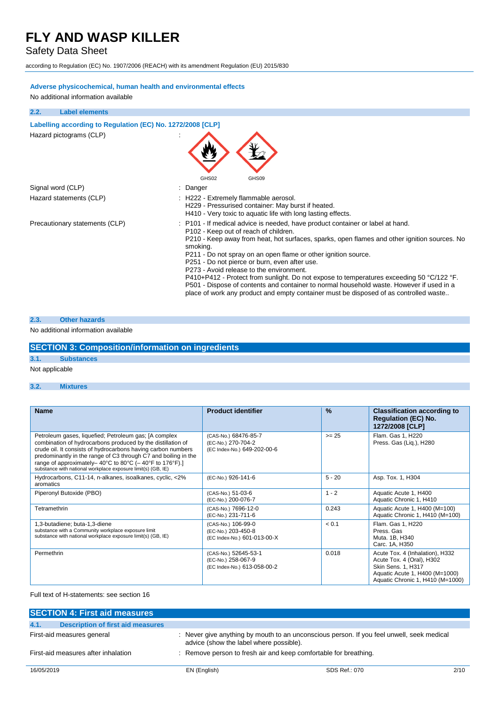### Safety Data Sheet

according to Regulation (EC) No. 1907/2006 (REACH) with its amendment Regulation (EU) 2015/830

### **Adverse physicochemical, human health and environmental effects**

No additional information available

| 2.2. | <b>Label elements</b>                                      |                                                                                                                                                                                                                                                                                                                                                                                                                                                                                                                                                                                                                                                                                   |
|------|------------------------------------------------------------|-----------------------------------------------------------------------------------------------------------------------------------------------------------------------------------------------------------------------------------------------------------------------------------------------------------------------------------------------------------------------------------------------------------------------------------------------------------------------------------------------------------------------------------------------------------------------------------------------------------------------------------------------------------------------------------|
|      | Labelling according to Regulation (EC) No. 1272/2008 [CLP] |                                                                                                                                                                                                                                                                                                                                                                                                                                                                                                                                                                                                                                                                                   |
|      | Hazard pictograms (CLP)                                    | GHS02<br>GHS09                                                                                                                                                                                                                                                                                                                                                                                                                                                                                                                                                                                                                                                                    |
|      | Signal word (CLP)                                          | Danger                                                                                                                                                                                                                                                                                                                                                                                                                                                                                                                                                                                                                                                                            |
|      | Hazard statements (CLP)                                    | : H222 - Extremely flammable aerosol.<br>H229 - Pressurised container: May burst if heated.<br>H410 - Very toxic to aquatic life with long lasting effects.                                                                                                                                                                                                                                                                                                                                                                                                                                                                                                                       |
|      | Precautionary statements (CLP)                             | P101 - If medical advice is needed, have product container or label at hand.<br>P102 - Keep out of reach of children.<br>P210 - Keep away from heat, hot surfaces, sparks, open flames and other ignition sources. No<br>smoking.<br>P211 - Do not spray on an open flame or other ignition source.<br>P251 - Do not pierce or burn, even after use.<br>P273 - Avoid release to the environment.<br>P410+P412 - Protect from sunlight. Do not expose to temperatures exceeding 50 °C/122 °F.<br>P501 - Dispose of contents and container to normal household waste. However if used in a<br>place of work any product and empty container must be disposed of as controlled waste |

#### **2.3. Other hazards**

### No additional information available

### **SECTION 3: Composition/information on ingredients**

### **3.1. Substances**

### Not applicable

#### **3.2. Mixtures**

| <b>Name</b>                                                                                                                                                                                                                                                                                                                                                                                                                  | <b>Product identifier</b>                                                 | $\frac{9}{6}$ | <b>Classification according to</b><br><b>Regulation (EC) No.</b><br>1272/2008 [CLP]                                                                      |
|------------------------------------------------------------------------------------------------------------------------------------------------------------------------------------------------------------------------------------------------------------------------------------------------------------------------------------------------------------------------------------------------------------------------------|---------------------------------------------------------------------------|---------------|----------------------------------------------------------------------------------------------------------------------------------------------------------|
| Petroleum gases, liquefied; Petroleum gas; [A complex<br>combination of hydrocarbons produced by the distillation of<br>crude oil. It consists of hydrocarbons having carbon numbers<br>predominantly in the range of C3 through C7 and boiling in the<br>range of approximately-40 $^{\circ}$ C to 80 $^{\circ}$ C (-40 $^{\circ}$ F to 176 $^{\circ}$ F).]<br>substance with national workplace exposure limit(s) (GB, IE) | (CAS-No.) 68476-85-7<br>(EC-No.) 270-704-2<br>(EC Index-No.) 649-202-00-6 | $>= 25$       | Flam. Gas 1, H220<br>Press. Gas (Liq.), H280                                                                                                             |
| Hydrocarbons, C11-14, n-alkanes, isoalkanes, cyclic, <2%<br>aromatics                                                                                                                                                                                                                                                                                                                                                        | (EC-No.) 926-141-6                                                        | $5 - 20$      | Asp. Tox. 1, H304                                                                                                                                        |
| Piperonyl Butoxide (PBO)                                                                                                                                                                                                                                                                                                                                                                                                     | (CAS-No.) 51-03-6<br>(EC-No.) 200-076-7                                   | $1 - 2$       | Aquatic Acute 1, H400<br>Aquatic Chronic 1, H410                                                                                                         |
| Tetramethrin                                                                                                                                                                                                                                                                                                                                                                                                                 | (CAS-No.) 7696-12-0<br>(EC-No.) 231-711-6                                 | 0.243         | Aquatic Acute 1, H400 (M=100)<br>Aquatic Chronic 1, H410 (M=100)                                                                                         |
| 1,3-butadiene; buta-1,3-diene<br>substance with a Community workplace exposure limit<br>substance with national workplace exposure limit(s) (GB, IE)                                                                                                                                                                                                                                                                         | (CAS-No.) 106-99-0<br>(EC-No.) 203-450-8<br>(EC Index-No.) 601-013-00-X   | < 0.1         | Flam. Gas 1, H220<br>Press, Gas<br>Muta. 1B, H340<br>Carc. 1A, H350                                                                                      |
| Permethrin                                                                                                                                                                                                                                                                                                                                                                                                                   | (CAS-No.) 52645-53-1<br>(EC-No.) 258-067-9<br>(EC Index-No.) 613-058-00-2 | 0.018         | Acute Tox. 4 (Inhalation), H332<br>Acute Tox. 4 (Oral), H302<br>Skin Sens. 1, H317<br>Aquatic Acute 1, H400 (M=1000)<br>Aquatic Chronic 1, H410 (M=1000) |

### Full text of H-statements: see section 16

|                                     | <b>SECTION 4: First aid measures</b> |                                                                                                                                      |                                                                  |      |
|-------------------------------------|--------------------------------------|--------------------------------------------------------------------------------------------------------------------------------------|------------------------------------------------------------------|------|
| 4.1.                                | Description of first aid measures    |                                                                                                                                      |                                                                  |      |
| First-aid measures general          |                                      | : Never give anything by mouth to an unconscious person. If you feel unwell, seek medical<br>advice (show the label where possible). |                                                                  |      |
| First-aid measures after inhalation |                                      |                                                                                                                                      | : Remove person to fresh air and keep comfortable for breathing. |      |
| 16/05/2019                          |                                      | EN (English)                                                                                                                         | SDS Ref.: 070                                                    | 2/10 |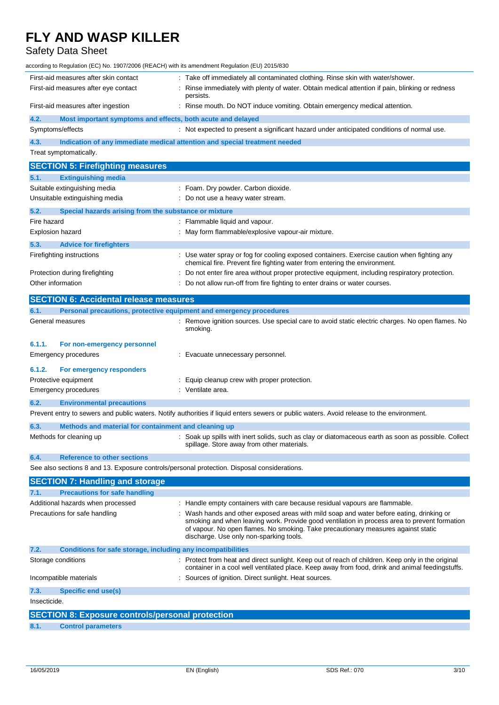### Safety Data Sheet

| according to Regulation (EC) No. 1907/2006 (REACH) with its amendment Regulation (EU) 2015/830 |                                                                                                                                                                                   |
|------------------------------------------------------------------------------------------------|-----------------------------------------------------------------------------------------------------------------------------------------------------------------------------------|
| First-aid measures after skin contact                                                          | : Take off immediately all contaminated clothing. Rinse skin with water/shower.                                                                                                   |
| First-aid measures after eye contact                                                           | Rinse immediately with plenty of water. Obtain medical attention if pain, blinking or redness<br>persists.                                                                        |
| First-aid measures after ingestion                                                             | Rinse mouth. Do NOT induce vomiting. Obtain emergency medical attention.                                                                                                          |
| 4.2.<br>Most important symptoms and effects, both acute and delayed                            |                                                                                                                                                                                   |
| Symptoms/effects                                                                               | : Not expected to present a significant hazard under anticipated conditions of normal use.                                                                                        |
| 4.3.                                                                                           | Indication of any immediate medical attention and special treatment needed                                                                                                        |
| Treat symptomatically.                                                                         |                                                                                                                                                                                   |
| <b>SECTION 5: Firefighting measures</b>                                                        |                                                                                                                                                                                   |
| 5.1.<br><b>Extinguishing media</b>                                                             |                                                                                                                                                                                   |
| Suitable extinguishing media                                                                   | : Foam. Dry powder. Carbon dioxide.                                                                                                                                               |
| Unsuitable extinguishing media                                                                 | : Do not use a heavy water stream.                                                                                                                                                |
| Special hazards arising from the substance or mixture<br>5.2.                                  |                                                                                                                                                                                   |
| Fire hazard                                                                                    | : Flammable liquid and vapour.                                                                                                                                                    |
| Explosion hazard                                                                               | : May form flammable/explosive vapour-air mixture.                                                                                                                                |
| 5.3.<br><b>Advice for firefighters</b>                                                         |                                                                                                                                                                                   |
| Firefighting instructions                                                                      | : Use water spray or fog for cooling exposed containers. Exercise caution when fighting any                                                                                       |
|                                                                                                | chemical fire. Prevent fire fighting water from entering the environment.                                                                                                         |
| Protection during firefighting                                                                 | Do not enter fire area without proper protective equipment, including respiratory protection.                                                                                     |
| Other information                                                                              | Do not allow run-off from fire fighting to enter drains or water courses.                                                                                                         |
| <b>SECTION 6: Accidental release measures</b>                                                  |                                                                                                                                                                                   |
| Personal precautions, protective equipment and emergency procedures<br>6.1.                    |                                                                                                                                                                                   |
| General measures                                                                               | : Remove ignition sources. Use special care to avoid static electric charges. No open flames. No                                                                                  |
|                                                                                                | smoking.                                                                                                                                                                          |
| 6.1.1.<br>For non-emergency personnel                                                          |                                                                                                                                                                                   |
| Emergency procedures                                                                           | : Evacuate unnecessary personnel.                                                                                                                                                 |
|                                                                                                |                                                                                                                                                                                   |
| 6.1.2.<br>For emergency responders                                                             |                                                                                                                                                                                   |
| Protective equipment                                                                           | : Equip cleanup crew with proper protection.                                                                                                                                      |
| <b>Emergency procedures</b>                                                                    | : Ventilate area.                                                                                                                                                                 |
| 6.2.<br><b>Environmental precautions</b>                                                       |                                                                                                                                                                                   |
|                                                                                                | Prevent entry to sewers and public waters. Notify authorities if liquid enters sewers or public waters. Avoid release to the environment.                                         |
| 6.3.<br>Methods and material for containment and cleaning up                                   |                                                                                                                                                                                   |
| Methods for cleaning up                                                                        | : Soak up spills with inert solids, such as clay or diatomaceous earth as soon as possible. Collect                                                                               |
|                                                                                                | spillage. Store away from other materials.                                                                                                                                        |
| 6.4.<br><b>Reference to other sections</b>                                                     |                                                                                                                                                                                   |
| See also sections 8 and 13. Exposure controls/personal protection. Disposal considerations.    |                                                                                                                                                                                   |
| <b>SECTION 7: Handling and storage</b>                                                         |                                                                                                                                                                                   |
| <b>Precautions for safe handling</b><br>7.1.                                                   |                                                                                                                                                                                   |
| Additional hazards when processed                                                              | : Handle empty containers with care because residual vapours are flammable.                                                                                                       |
| Precautions for safe handling                                                                  | : Wash hands and other exposed areas with mild soap and water before eating, drinking or                                                                                          |
|                                                                                                | smoking and when leaving work. Provide good ventilation in process area to prevent formation<br>of vapour. No open flames. No smoking. Take precautionary measures against static |
|                                                                                                | discharge. Use only non-sparking tools.                                                                                                                                           |
| 7.2.<br>Conditions for safe storage, including any incompatibilities                           |                                                                                                                                                                                   |
| Storage conditions                                                                             | : Protect from heat and direct sunlight. Keep out of reach of children. Keep only in the original                                                                                 |
|                                                                                                | container in a cool well ventilated place. Keep away from food, drink and animal feedingstuffs.                                                                                   |
| Incompatible materials                                                                         | Sources of ignition. Direct sunlight. Heat sources.                                                                                                                               |
| 7.3.<br><b>Specific end use(s)</b>                                                             |                                                                                                                                                                                   |
| Insecticide.                                                                                   |                                                                                                                                                                                   |
| <b>SECTION 8: Exposure controls/personal protection</b>                                        |                                                                                                                                                                                   |
| 8.1.<br><b>Control parameters</b>                                                              |                                                                                                                                                                                   |
|                                                                                                |                                                                                                                                                                                   |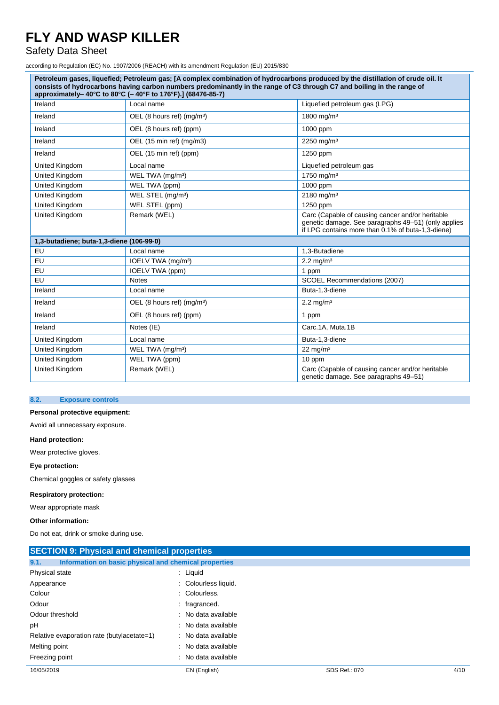### Safety Data Sheet

according to Regulation (EC) No. 1907/2006 (REACH) with its amendment Regulation (EU) 2015/830

| Petroleum gases, liquefied; Petroleum gas; [A complex combination of hydrocarbons produced by the distillation of crude oil. It<br>consists of hydrocarbons having carbon numbers predominantly in the range of C3 through C7 and boiling in the range of<br>approximately-40°C to 80°C (-40°F to 176°F).] (68476-85-7) |                                        |                                                                                                                                                              |  |  |
|-------------------------------------------------------------------------------------------------------------------------------------------------------------------------------------------------------------------------------------------------------------------------------------------------------------------------|----------------------------------------|--------------------------------------------------------------------------------------------------------------------------------------------------------------|--|--|
| Ireland                                                                                                                                                                                                                                                                                                                 | Local name                             | Liquefied petroleum gas (LPG)                                                                                                                                |  |  |
| Ireland                                                                                                                                                                                                                                                                                                                 | OEL (8 hours ref) (mg/m <sup>3</sup> ) | 1800 mg/m <sup>3</sup>                                                                                                                                       |  |  |
| Ireland                                                                                                                                                                                                                                                                                                                 | OEL (8 hours ref) (ppm)                | 1000 ppm                                                                                                                                                     |  |  |
| Ireland                                                                                                                                                                                                                                                                                                                 | OEL (15 min ref) (mg/m3)               | $2250$ mg/m <sup>3</sup>                                                                                                                                     |  |  |
| Ireland                                                                                                                                                                                                                                                                                                                 | OEL (15 min ref) (ppm)                 | 1250 ppm                                                                                                                                                     |  |  |
| United Kingdom                                                                                                                                                                                                                                                                                                          | Local name                             | Liquefied petroleum gas                                                                                                                                      |  |  |
| United Kingdom                                                                                                                                                                                                                                                                                                          | WEL TWA (mg/m <sup>3</sup> )           | 1750 mg/m <sup>3</sup>                                                                                                                                       |  |  |
| United Kingdom                                                                                                                                                                                                                                                                                                          | WEL TWA (ppm)                          | 1000 ppm                                                                                                                                                     |  |  |
| United Kingdom                                                                                                                                                                                                                                                                                                          | WEL STEL (mg/m <sup>3</sup> )          | 2180 mg/m <sup>3</sup>                                                                                                                                       |  |  |
| United Kingdom                                                                                                                                                                                                                                                                                                          | WEL STEL (ppm)                         | 1250 ppm                                                                                                                                                     |  |  |
| <b>United Kingdom</b>                                                                                                                                                                                                                                                                                                   | Remark (WEL)                           | Carc (Capable of causing cancer and/or heritable<br>genetic damage. See paragraphs 49-51) (only applies<br>if LPG contains more than 0.1% of buta-1,3-diene) |  |  |
| 1,3-butadiene; buta-1,3-diene (106-99-0)                                                                                                                                                                                                                                                                                |                                        |                                                                                                                                                              |  |  |
| EU                                                                                                                                                                                                                                                                                                                      | Local name                             | 1,3-Butadiene                                                                                                                                                |  |  |
| EU                                                                                                                                                                                                                                                                                                                      | IOELV TWA (mg/m <sup>3</sup> )         | $2.2 \,\mathrm{mq/m^3}$                                                                                                                                      |  |  |
| EU                                                                                                                                                                                                                                                                                                                      | IOELV TWA (ppm)                        | 1 ppm                                                                                                                                                        |  |  |
| EU                                                                                                                                                                                                                                                                                                                      | <b>Notes</b>                           | SCOEL Recommendations (2007)                                                                                                                                 |  |  |
| Ireland                                                                                                                                                                                                                                                                                                                 | Local name                             | Buta-1,3-diene                                                                                                                                               |  |  |
| Ireland                                                                                                                                                                                                                                                                                                                 | OEL (8 hours ref) (mg/m <sup>3</sup> ) | $2.2 \,\mathrm{mg/m^3}$                                                                                                                                      |  |  |
| Ireland                                                                                                                                                                                                                                                                                                                 | OEL (8 hours ref) (ppm)                | 1 ppm                                                                                                                                                        |  |  |
| Ireland                                                                                                                                                                                                                                                                                                                 | Notes (IE)                             | Carc.1A. Muta.1B                                                                                                                                             |  |  |
| United Kingdom                                                                                                                                                                                                                                                                                                          | Local name                             | Buta-1,3-diene                                                                                                                                               |  |  |
| <b>United Kingdom</b>                                                                                                                                                                                                                                                                                                   | WEL TWA (mg/m <sup>3</sup> )           | $22 \text{ mg/m}^3$                                                                                                                                          |  |  |
| <b>United Kingdom</b>                                                                                                                                                                                                                                                                                                   | WEL TWA (ppm)                          | 10 ppm                                                                                                                                                       |  |  |
| <b>United Kingdom</b>                                                                                                                                                                                                                                                                                                   | Remark (WEL)                           | Carc (Capable of causing cancer and/or heritable<br>genetic damage. See paragraphs 49-51)                                                                    |  |  |

### **8.2. Exposure controls**

### **Personal protective equipment:**

Avoid all unnecessary exposure.

#### **Hand protection:**

Wear protective gloves.

### **Eye protection:**

Chemical goggles or safety glasses

### **Respiratory protection:**

Wear appropriate mask

#### **Other information:**

Do not eat, drink or smoke during use.

| <b>SECTION 9: Physical and chemical properties</b> |                                                       |  |  |
|----------------------------------------------------|-------------------------------------------------------|--|--|
| 9.1.                                               | Information on basic physical and chemical properties |  |  |
| Physical state                                     | $:$ Liquid                                            |  |  |
| Appearance                                         | : Colourless liquid.                                  |  |  |
| Colour                                             | : Colourless.                                         |  |  |
| Odour                                              | : fragranced.                                         |  |  |
| Odour threshold                                    | : No data available                                   |  |  |
| рH                                                 | : No data available                                   |  |  |
| Relative evaporation rate (butylacetate=1)         | : No data available                                   |  |  |
| Melting point                                      | : No data available                                   |  |  |
| Freezing point                                     | : No data available                                   |  |  |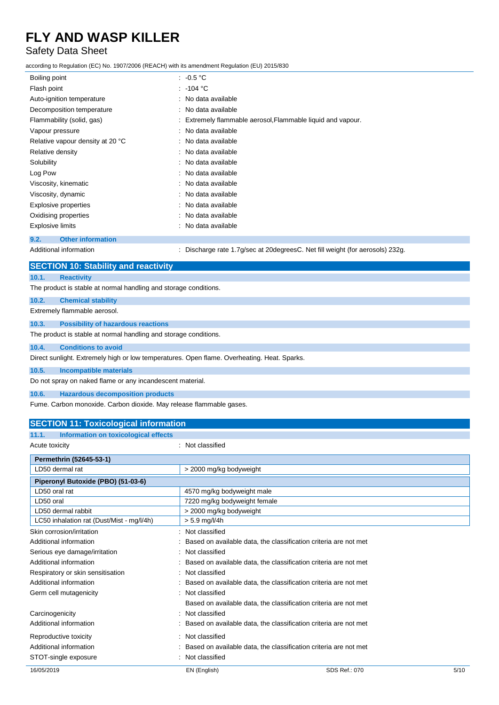### Safety Data Sheet

according to Regulation (EC) No. 1907/2006 (REACH) with its amendment Regulation (EU) 2015/830

| Boiling point                    | : $-0.5\degree$ C                                           |
|----------------------------------|-------------------------------------------------------------|
| Flash point                      | $: -104 °C$                                                 |
| Auto-ignition temperature        | : No data available                                         |
| Decomposition temperature        | : No data available                                         |
| Flammability (solid, gas)        | : Extremely flammable aerosol, Flammable liquid and vapour. |
| Vapour pressure                  | : No data available                                         |
| Relative vapour density at 20 °C | : No data available                                         |
| Relative density                 | : No data available                                         |
| Solubility                       | : No data available                                         |
| Log Pow                          | : No data available                                         |
| Viscosity, kinematic             | : No data available                                         |
| Viscosity, dynamic               | : No data available                                         |
| Explosive properties             | : No data available                                         |
| Oxidising properties             | : No data available                                         |
| <b>Explosive limits</b>          | : No data available                                         |
| <b>Other information</b><br>9.2. |                                                             |
|                                  |                                                             |

Additional information **information** : Discharge rate 1.7g/sec at 20degreesC. Net fill weight (for aerosols) 232g.

|                | <b>SECTION 10: Stability and reactivity</b>                                                 |
|----------------|---------------------------------------------------------------------------------------------|
| 10.1.          | <b>Reactivity</b>                                                                           |
|                | The product is stable at normal handling and storage conditions.                            |
| 10.2.          | <b>Chemical stability</b>                                                                   |
|                | Extremely flammable aerosol.                                                                |
| 10.3.          | <b>Possibility of hazardous reactions</b>                                                   |
|                | The product is stable at normal handling and storage conditions.                            |
| 10.4.          | <b>Conditions to avoid</b>                                                                  |
|                | Direct sunlight. Extremely high or low temperatures. Open flame. Overheating. Heat. Sparks. |
| 10.5.          | <b>Incompatible materials</b>                                                               |
|                | Do not spray on naked flame or any incandescent material.                                   |
| 10.6.          | <b>Hazardous decomposition products</b>                                                     |
|                | Fume. Carbon monoxide. Carbon dioxide. May release flammable gases.                         |
|                | <b>SECTION 11: Toxicological information</b>                                                |
| 11.1.          | Information on toxicological effects                                                        |
| Acute toxicity | Not classified                                                                              |

| Acute toxicity                            | . TVUL GRISSINGU                                                 |  |  |
|-------------------------------------------|------------------------------------------------------------------|--|--|
| Permethrin (52645-53-1)                   |                                                                  |  |  |
| LD50 dermal rat                           | > 2000 mg/kg bodyweight                                          |  |  |
| Piperonyl Butoxide (PBO) (51-03-6)        |                                                                  |  |  |
| LD50 oral rat                             | 4570 mg/kg bodyweight male                                       |  |  |
| LD50 oral                                 | 7220 mg/kg bodyweight female                                     |  |  |
| LD50 dermal rabbit                        | > 2000 mg/kg bodyweight                                          |  |  |
| LC50 inhalation rat (Dust/Mist - mg/l/4h) | $> 5.9$ mg/l/4h                                                  |  |  |
| Skin corrosion/irritation                 | : Not classified                                                 |  |  |
| Additional information                    | Based on available data, the classification criteria are not met |  |  |
| Serious eye damage/irritation             | : Not classified                                                 |  |  |
| Additional information                    | Based on available data, the classification criteria are not met |  |  |
| Respiratory or skin sensitisation         | Not classified                                                   |  |  |
| Additional information                    | Based on available data, the classification criteria are not met |  |  |
| Germ cell mutagenicity                    | Not classified                                                   |  |  |
|                                           | Based on available data, the classification criteria are not met |  |  |
| Carcinogenicity                           | Not classified                                                   |  |  |
| Additional information                    | Based on available data, the classification criteria are not met |  |  |
| Reproductive toxicity                     | : Not classified                                                 |  |  |
| Additional information                    | Based on available data, the classification criteria are not met |  |  |
| STOT-single exposure                      | Not classified                                                   |  |  |
|                                           |                                                                  |  |  |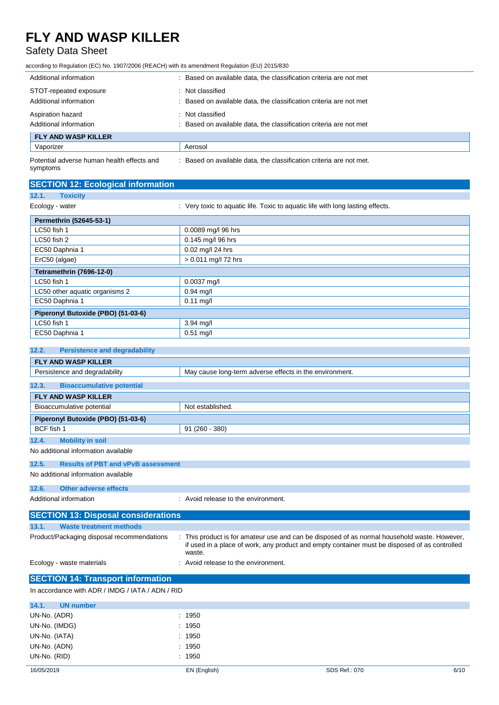### Safety Data Sheet

according to Regulation (EC) No. 1907/2006 (REACH) with its amendment Regulation (EU) 2015/830

| Additional information                                 | Based on available data, the classification criteria are not met  |
|--------------------------------------------------------|-------------------------------------------------------------------|
| STOT-repeated exposure                                 | Not classified                                                    |
| Additional information                                 | Based on available data, the classification criteria are not met  |
| Aspiration hazard                                      | Not classified                                                    |
| Additional information                                 | Based on available data, the classification criteria are not met  |
| <b>FLY AND WASP KILLER</b>                             |                                                                   |
| Vaporizer                                              | Aerosol                                                           |
| Potential adverse human health effects and<br>symptoms | Based on available data, the classification criteria are not met. |

| <b>SECTION 12: Ecological information</b> |                                                                                |
|-------------------------------------------|--------------------------------------------------------------------------------|
| <b>Toxicity</b><br>12.1.                  |                                                                                |
| Ecology - water                           | : Very toxic to aquatic life. Toxic to aquatic life with long lasting effects. |
| Permethrin (52645-53-1)                   |                                                                                |
| LC50 fish 1                               | 0.0089 mg/l 96 hrs                                                             |
| LC50 fish 2                               | 0.145 mg/l 96 hrs                                                              |
| EC50 Daphnia 1                            | 0.02 mg/l 24 hrs                                                               |
| ErC50 (algae)                             | > 0.011 mg/l 72 hrs                                                            |
| Tetramethrin (7696-12-0)                  |                                                                                |
| LC50 fish 1                               | 0.0037 mg/l                                                                    |
| LC50 other aquatic organisms 2            | $0.94$ mg/l                                                                    |
| EC50 Daphnia 1                            | $0.11$ mg/l                                                                    |
| Piperonyl Butoxide (PBO) (51-03-6)        |                                                                                |
| LC50 fish 1                               | $3.94$ mg/l                                                                    |
| EC50 Daphnia 1                            | $0.51$ mg/l                                                                    |

### **12.2. Persistence and degradability**

| <b>FLY AND WASP KILLER</b>                         |                                                                                                                                                                                                       |  |  |
|----------------------------------------------------|-------------------------------------------------------------------------------------------------------------------------------------------------------------------------------------------------------|--|--|
| Persistence and degradability                      | May cause long-term adverse effects in the environment.                                                                                                                                               |  |  |
| 12.3.<br><b>Bioaccumulative potential</b>          |                                                                                                                                                                                                       |  |  |
| <b>FLY AND WASP KILLER</b>                         |                                                                                                                                                                                                       |  |  |
| Bioaccumulative potential                          | Not established.                                                                                                                                                                                      |  |  |
| Piperonyl Butoxide (PBO) (51-03-6)                 |                                                                                                                                                                                                       |  |  |
| BCF fish 1                                         | $91(260 - 380)$                                                                                                                                                                                       |  |  |
| 12.4.<br><b>Mobility in soil</b>                   |                                                                                                                                                                                                       |  |  |
| No additional information available                |                                                                                                                                                                                                       |  |  |
| 12.5.<br><b>Results of PBT and vPvB assessment</b> |                                                                                                                                                                                                       |  |  |
| No additional information available                |                                                                                                                                                                                                       |  |  |
| 12.6.<br><b>Other adverse effects</b>              |                                                                                                                                                                                                       |  |  |
| Additional information                             | : Avoid release to the environment.                                                                                                                                                                   |  |  |
|                                                    |                                                                                                                                                                                                       |  |  |
| <b>SECTION 13: Disposal considerations</b>         |                                                                                                                                                                                                       |  |  |
| <b>Waste treatment methods</b><br>13.1.            |                                                                                                                                                                                                       |  |  |
| Product/Packaging disposal recommendations         | This product is for amateur use and can be disposed of as normal household waste. However,<br>if used in a place of work, any product and empty container must be disposed of as controlled<br>waste. |  |  |
| Ecology - waste materials                          | : Avoid release to the environment.                                                                                                                                                                   |  |  |
| <b>SECTION 14: Transport information</b>           |                                                                                                                                                                                                       |  |  |
| In accordance with ADR / IMDG / IATA / ADN / RID   |                                                                                                                                                                                                       |  |  |
|                                                    |                                                                                                                                                                                                       |  |  |
| <b>UN number</b><br>14.1.                          |                                                                                                                                                                                                       |  |  |
| UN-No. (ADR)                                       | 1950                                                                                                                                                                                                  |  |  |
| UN-No. (IMDG)                                      | 1950                                                                                                                                                                                                  |  |  |
| UN-No. (IATA)                                      | 1950                                                                                                                                                                                                  |  |  |
| UN-No. (ADN)                                       | : 1950                                                                                                                                                                                                |  |  |

UN-No. (RID) : 1950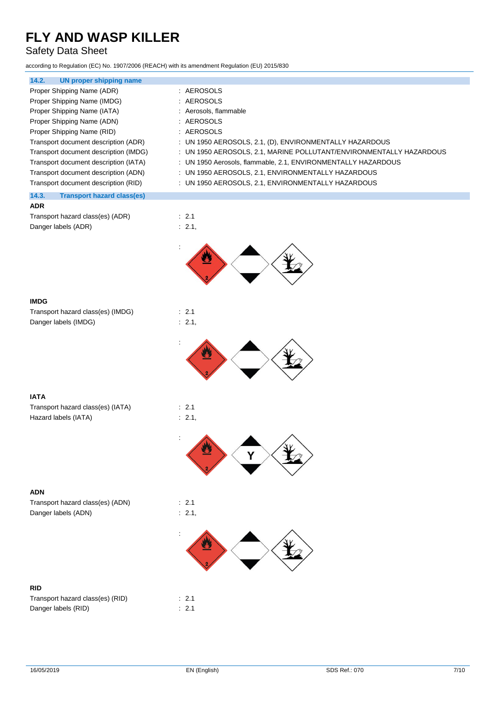### Safety Data Sheet

according to Regulation (EC) No. 1907/2006 (REACH) with its amendment Regulation (EU) 2015/830

| 14.2.<br>UN proper shipping name           |                                                                     |
|--------------------------------------------|---------------------------------------------------------------------|
| Proper Shipping Name (ADR)                 | : AEROSOLS                                                          |
| Proper Shipping Name (IMDG)                | : AEROSOLS                                                          |
| Proper Shipping Name (IATA)                | : Aerosols, flammable                                               |
| Proper Shipping Name (ADN)                 | : AEROSOLS                                                          |
| Proper Shipping Name (RID)                 | : AEROSOLS                                                          |
| Transport document description (ADR)       | : UN 1950 AEROSOLS, 2.1, (D), ENVIRONMENTALLY HAZARDOUS             |
| Transport document description (IMDG)      | : UN 1950 AEROSOLS, 2.1, MARINE POLLUTANT/ENVIRONMENTALLY HAZARDOUS |
| Transport document description (IATA)      | : UN 1950 Aerosols, flammable, 2.1, ENVIRONMENTALLY HAZARDOUS       |
| Transport document description (ADN)       | : UN 1950 AEROSOLS, 2.1, ENVIRONMENTALLY HAZARDOUS                  |
| Transport document description (RID)       | : UN 1950 AEROSOLS, 2.1, ENVIRONMENTALLY HAZARDOUS                  |
| 14.3.<br><b>Transport hazard class(es)</b> |                                                                     |

| <b>ADR</b>                       |  |
|----------------------------------|--|
| Transport hazard class(es) (ADR) |  |
| Danger labels (ADR)              |  |



| <b>IMDG</b>                       |                   |
|-----------------------------------|-------------------|
| Transport hazard class(es) (IMDG) | $\therefore$ 2.1  |
| Danger labels (IMDG)              | $\therefore$ 2.1. |

 $\therefore$  2.1  $\therefore$  2.1,



### **IATA**

Transport hazard class(es) (IATA) : 2.1 Hazard labels (IATA) : 2.1,



### **ADN**

Transport hazard class(es) (ADN) Danger labels (ADN)

| × |   |
|---|---|
| × | × |



### **RID**

| Transport hazard class(es) (RID) | $\therefore$ 2.1 |
|----------------------------------|------------------|
| Danger labels (RID)              | $\therefore$ 2.1 |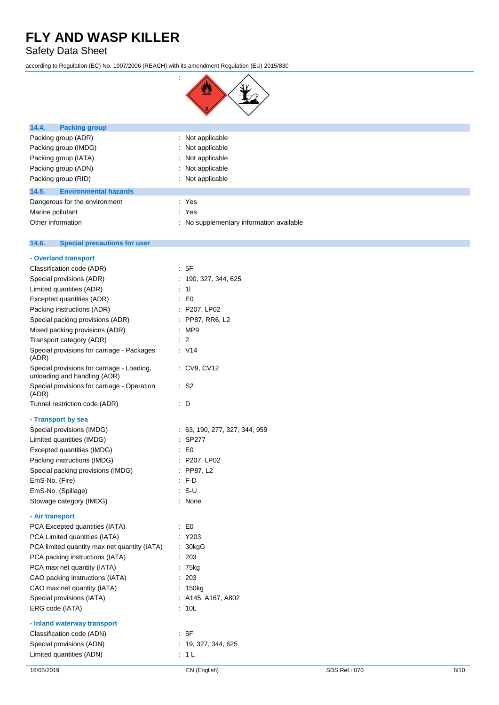Safety Data Sheet

according to Regulation (EC) No. 1907/2006 (REACH) with its amendment Regulation (EU) 2015/830



| 14.4.<br><b>Packing group</b>         |                                          |
|---------------------------------------|------------------------------------------|
| Packing group (ADR)                   | $\therefore$ Not applicable              |
| Packing group (IMDG)                  | : Not applicable                         |
| Packing group (IATA)                  | : Not applicable                         |
| Packing group (ADN)                   | : Not applicable                         |
| Packing group (RID)                   | : Not applicable                         |
| <b>Environmental hazards</b><br>14.5. |                                          |
| Dangerous for the environment         | : Yes                                    |
| Marine pollutant                      | : Yes                                    |
| Other information                     | : No supplementary information available |

| 14.6.<br><b>Special precautions for user</b>                               |                               |
|----------------------------------------------------------------------------|-------------------------------|
| - Overland transport                                                       |                               |
| Classification code (ADR)                                                  | 5F<br>÷                       |
| Special provisions (ADR)                                                   | 190, 327, 344, 625            |
| Limited quantities (ADR)                                                   | 11<br>÷                       |
| Excepted quantities (ADR)                                                  | $\mathsf{E}$ E0               |
| Packing instructions (ADR)                                                 | : P207, LP02                  |
| Special packing provisions (ADR)                                           | : PP87, RR6, L2               |
| Mixed packing provisions (ADR)                                             | :MP9                          |
| Transport category (ADR)                                                   | : 2                           |
| Special provisions for carriage - Packages<br>(ADR)                        | : V14                         |
| Special provisions for carriage - Loading,<br>unloading and handling (ADR) | : CV9, CV12                   |
| Special provisions for carriage - Operation<br>(ADR)                       | S <sub>2</sub><br>÷.          |
| Tunnel restriction code (ADR)                                              | : D                           |
| - Transport by sea                                                         |                               |
| Special provisions (IMDG)                                                  | : 63, 190, 277, 327, 344, 959 |
| Limited quantities (IMDG)                                                  | $:$ SP277                     |
| Excepted quantities (IMDG)                                                 | $\therefore$ EO               |
| Packing instructions (IMDG)                                                | : P207, LP02                  |
| Special packing provisions (IMDG)                                          | : PP87, L2                    |
| EmS-No. (Fire)                                                             | : F.D                         |
| EmS-No. (Spillage)                                                         | $: S-U$                       |
| Stowage category (IMDG)                                                    | : None                        |
| - Air transport                                                            |                               |
| PCA Excepted quantities (IATA)                                             | : E0                          |
| PCA Limited quantities (IATA)                                              | Y203                          |
| PCA limited quantity max net quantity (IATA)                               | : 30kgG                       |
| PCA packing instructions (IATA)                                            | ÷<br>203                      |
| PCA max net quantity (IATA)                                                | 75kg<br>÷.                    |
| CAO packing instructions (IATA)                                            | : 203                         |
| CAO max net quantity (IATA)                                                | 150kg                         |
| Special provisions (IATA)                                                  | : A145, A167, A802            |
| ERG code (IATA)                                                            | : 10L                         |
| - Inland waterway transport                                                |                               |
| Classification code (ADN)                                                  | : 5F                          |
| Special provisions (ADN)                                                   | : 19, 327, 344, 625           |
| Limited quantities (ADN)                                                   | 1 <sub>L</sub>                |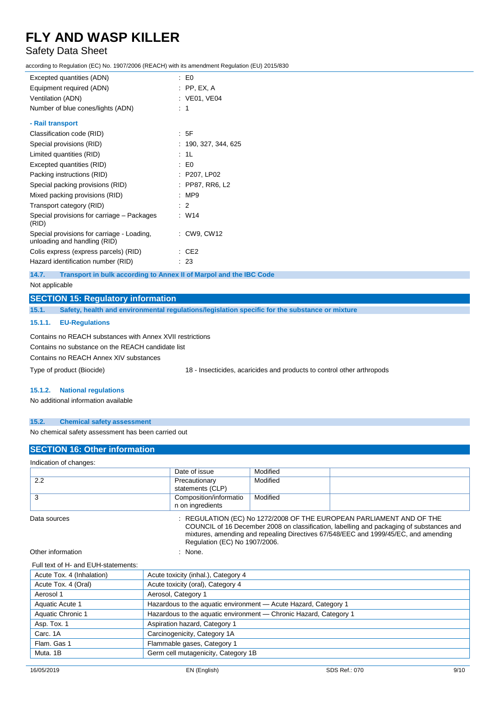### Safety Data Sheet

according to Regulation (EC) No. 1907/2006 (REACH) with its amendment Regulation (EU) 2015/830

| Excepted quantities (ADN)                                                  | $\pm 50$                  |
|----------------------------------------------------------------------------|---------------------------|
| Equipment required (ADN)                                                   | $:$ PP, EX, A             |
| Ventilation (ADN)                                                          | : VE01, VE04              |
| Number of blue cones/lights (ADN)                                          | : 1                       |
| - Rail transport                                                           |                           |
| Classification code (RID)                                                  | : 5F                      |
| Special provisions (RID)                                                   | : 190, 327, 344, 625      |
| Limited quantities (RID)                                                   | : 1L                      |
| Excepted quantities (RID)                                                  | $\mathbf{E}$ $\mathbf{E}$ |
| Packing instructions (RID)                                                 | : P207, LP02              |
| Special packing provisions (RID)                                           | : PP87, RR6, L2           |
| Mixed packing provisions (RID)                                             | :MP9                      |
| Transport category (RID)                                                   | $\therefore$ 2            |
| Special provisions for carriage - Packages<br>(RID)                        | : W14                     |
| Special provisions for carriage - Loading,<br>unloading and handling (RID) | : CW9, CW12               |
| Colis express (express parcels) (RID)                                      | CE2                       |
| Hazard identification number (RID)                                         | : 23                      |
|                                                                            |                           |

**14.7. Transport in bulk according to Annex II of Marpol and the IBC Code**

Not applicable

### **SECTION 15: Regulatory information**

**15.1. Safety, health and environmental regulations/legislation specific for the substance or mixture**

#### **15.1.1. EU-Regulations**

Contains no REACH substances with Annex XVII restrictions

Contains no substance on the REACH candidate list

Contains no REACH Annex XIV substances

Type of product (Biocide) 18 - Insecticides, acaricides and products to control other arthropods

#### **15.1.2. National regulations**

No additional information available

#### **15.2. Chemical safety assessment**

No chemical safety assessment has been carried out

### **SECTION 16: Other information**

Indication of changes:

|     | Date of issue                              | Modified |  |
|-----|--------------------------------------------|----------|--|
| 2.2 | Precautionary<br>statements (CLP)          | Modified |  |
| ັ   | Composition/informatio<br>n on ingredients | Modified |  |

Data sources : REGULATION (EC) No 1272/2008 OF THE EUROPEAN PARLIAMENT AND OF THE COUNCIL of 16 December 2008 on classification, labelling and packaging of substances and mixtures, amending and repealing Directives 67/548/EEC and 1999/45/EC, and amending Regulation (EC) No 1907/2006.

Other information : None.

#### Full text of H- and EUH-statements:

| Acute toxicity (oral), Category 4                                 |
|-------------------------------------------------------------------|
|                                                                   |
| Aerosol, Category 1                                               |
| Hazardous to the aquatic environment - Acute Hazard, Category 1   |
| Hazardous to the aquatic environment - Chronic Hazard, Category 1 |
| Aspiration hazard, Category 1                                     |
| Carcinogenicity, Category 1A                                      |
| Flammable gases, Category 1                                       |
| Germ cell mutagenicity, Category 1B                               |
|                                                                   |